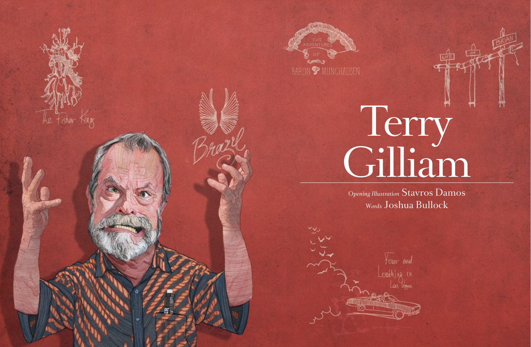

## Terry Gilliam

*Opening Illustration* Stavros Damos *Words* Joshua Bullock

Yeam and coathing in Las Vegas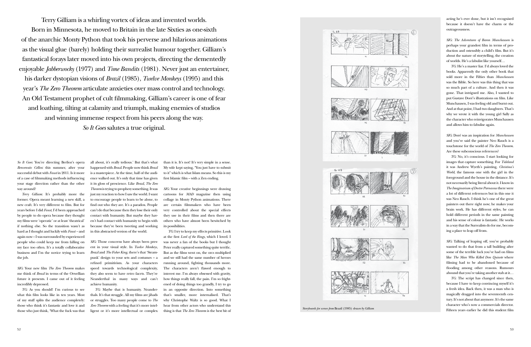





*So It Goes*: You're directing Berlioz's opera *Benvenuto Cellini* this summer, after your successful debut with *Faust* in 2011. Is it more of a case of filmmaking methods influencing your stage direction rather than the other way around?

*Terry Gilliam*: It's probably more the former. Opera meant learning a new skill, a new craft. It's very different to film. But for years before I did *Faust*, I'd been approached by people to do opera because they thought my films were 'operatic' or at least 'theatrical' if nothing else. So the transition wasn't as hard as I thought and luckily with *Faust –* and again now – I was surrounded by experienced people who could keep me from falling on my face too often. It's a totally collaborative business and I'm the novice trying to learn the job.

*SIG*: Your new film *The Zero Theorem* makes me think of *Brazil* in terms of the Orwellian future it presents. I came out of it feeling incredibly depressed.

SIG: Those concerns have always been present in your visual style. In *Twelve Monkeys, Brazil* and *The Fisher King*, there's that 'Steampunk' design to your sets and costumes – a refined primitivism. As your characters speed towards technological complexity, they also seem to have retro facets. They're Neanderthal in many ways and can't achieve humanity.

*TG*: As you should! I'm curious to see what this film looks like in ten years. Most of my stuff splits the audience completely: those who think it's fantastic and love it and those who just think, 'What the fuck was that

all about, it's really tedious.' But that's what happened with *Brazil*. People now think *Brazil* is a masterpiece. At the time, half of the audi ence walked out. It's only that time has given it its gloss of prescience. Like *Brazil*, *The Zero Theorem* is trying to prophesy something. It was just my reaction to how I saw the world. I want to encourage people to learn to be alone, to find out who they are. It's a paradox. People can't do that because then they lose their only contact with humanity. But maybe they haven't had contact with humanity to begin with because they've been tweeting and working in this abstracted version of the world.

*TG*: Maybe that is humanity. Neanderthals. It's that struggle. All my films are jihads or struggles. Too many people come to *The Zero Theorem* with a feeling that it's more intelligent or it's more intellectual or complex

Terry Gilliam is a whirling vortex of ideas and invented worlds. Born in Minnesota, he moved to Britain in the late Sixties as one-sixth of the anarchic Monty Python that took his perverse and hilarious animations as the visual glue (barely) holding their surrealist humour together. Gilliam's fantastical forays later moved into his own projects, directing the dementedly enjoyable *Jabberwocky* (1977) and *Time Bandits* (1981)*.* Never just an entertainer, his darker dystopian visions of *Brazil* (1985), *Twelve Monkeys* (1995) and this year's *The Zero Theorem* articulate anxieties over mass control and technology. An Old Testament prophet of cult filmmaking, Gilliam's career is one of fear and loathing, tilting at calamity and triumph, making enemies of studios and winning immense respect from his peers along the way. *So It Goes* salutes a true original.

> than it is. It's not! It's very simple in a sense. My wife kept saying, "You just have to submit to it" which is what Islam means. So this is my first Islamic film – with a Zen ending.

> *SIG*: Your creative beginnings were drawing cartoons for *MAD* magazine then using collage in Monty Python animations. There are certain filmmakers who have been very controlled about the special effects they use in their films and then there are others who have almost been bewitched by its possibilities.

> *TG*: I try to keep my effects primitive. Look at the first *Lord of the Rings*, which I loved. I was never a fan of the books but I thought Peter really captured something quite terrific. But as the films went on, the orcs multiplied and we still had the same number of heroes running around, fighting thousands more. The characters aren't flawed enough to interest me. I'm always obsessed with gravity, how things really fall, the pain. I'm so frightened of doing things too grandly, I try to go in an opposite direction. Into something that's smaller, more internalised. That's why Christophe Waltz is so good. What I hear from other actors who understand this thing is that *The Zero Theorem* is the best bit of

acting he's ever done, but it isn't recognised because it doesn't have the charm or the outrageousness.

*SIG*: *The Adventures of Baron Munchausen* is perhaps your grandest film in terms of pro duction and ostensibly a child's film. But it's about the nature of storytelling, the creation of worlds. He's a fabulist like yourself…

*TG*: He's a master liar. I'd always loved the books. Apparently the only other book that sold more in the Fifties than *Munchausen* was the Bible. So here was this thing that was so much part of a culture. And then it was gone. That intrigued me. Also, I wanted to put Gustave Doré's illustrations on film. Like Munchausen, I was feeling old and burnt out. And at that point, I had two daughters. That's why we wrote it with the young girl Sally as the character who reinvigorates Munchausen and allows him to fabulise again.

*SIG*: Doré was an inspiration for *Munchausen* and you've said the painter Neo Rauch is a touchstone for the world of *The Zero Theorem*. Are these subconscious references?

*TG*: No, it's conscious. I start looking for images that capture something. For *Tideland* it was Andrew Wyeth's painting, *Christina's World*, the famous one with the girl in the foreground and the house in the distance. It's not necessarily being literal about it. I know in *The Imaginarium of Doctor Parnassus* there were a lot of different references but in this one it was Neo Rauch. I think he's one of the great painters out there right now; he makes your brain work. He has different styles, he can hold different periods in the same painting and his sense of colour is fantastic. He works in a way that the Surrealists do for me, becom ing a place to leap off from.

*SIG*: Talking of leaping off, you've probably wanted to do that from a tall building after some of the terrible luck you've had on films like *The Man Who Killed Don Quixote* where filming had to be abandoned because of flooding among other reasons. Rumours abound that you're taking another stab at it…

*TG*: The script has changed since then, because I have to keep convincing myself it's a fresh idea. Back then, it was a man who is magically dragged into the seventeenth cen tury. It's not about that anymore. It's the same character who's now a commercials director. Fifteen years earlier he did this student film